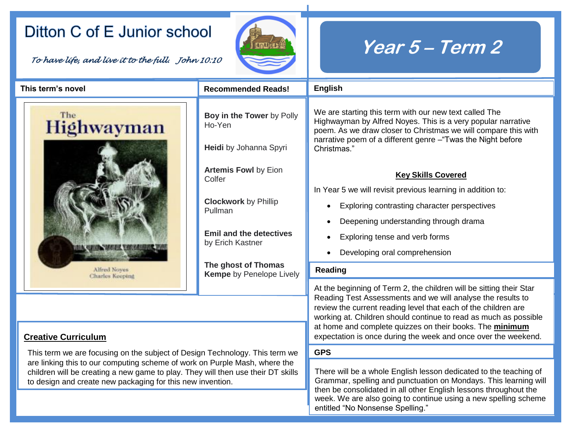## Ditton C of E Junior school

*To have life, and live it to the full. John 10:10* 



## **Year 5 – Term 2**

| This term's novel                                                                                                                                                                                                                                                                                           | <b>Recommended Reads!</b>                                     | <b>English</b>                                                                                                                                                                                                                                                                                                                                                                                         |  |
|-------------------------------------------------------------------------------------------------------------------------------------------------------------------------------------------------------------------------------------------------------------------------------------------------------------|---------------------------------------------------------------|--------------------------------------------------------------------------------------------------------------------------------------------------------------------------------------------------------------------------------------------------------------------------------------------------------------------------------------------------------------------------------------------------------|--|
| The<br>Highwayman                                                                                                                                                                                                                                                                                           | Boy in the Tower by Polly<br>Ho-Yen<br>Heidi by Johanna Spyri | We are starting this term with our new text called The<br>Highwayman by Alfred Noyes. This is a very popular narrative<br>poem. As we draw closer to Christmas we will compare this with<br>narrative poem of a different genre - "Twas the Night before<br>Christmas."                                                                                                                                |  |
| <b>Alfred Noves</b><br>Charles Keeping                                                                                                                                                                                                                                                                      | <b>Artemis Fowl by Eion</b><br>Colfer                         | <b>Key Skills Covered</b><br>In Year 5 we will revisit previous learning in addition to:                                                                                                                                                                                                                                                                                                               |  |
|                                                                                                                                                                                                                                                                                                             | <b>Clockwork</b> by Phillip<br>Pullman                        | Exploring contrasting character perspectives                                                                                                                                                                                                                                                                                                                                                           |  |
|                                                                                                                                                                                                                                                                                                             | <b>Emil and the detectives</b>                                | Deepening understanding through drama                                                                                                                                                                                                                                                                                                                                                                  |  |
|                                                                                                                                                                                                                                                                                                             | by Erich Kastner                                              | Exploring tense and verb forms<br>Developing oral comprehension                                                                                                                                                                                                                                                                                                                                        |  |
|                                                                                                                                                                                                                                                                                                             | The ghost of Thomas<br><b>Kempe</b> by Penelope Lively        | Reading                                                                                                                                                                                                                                                                                                                                                                                                |  |
| <b>Creative Curriculum</b>                                                                                                                                                                                                                                                                                  |                                                               | At the beginning of Term 2, the children will be sitting their Star<br>Reading Test Assessments and we will analyse the results to<br>review the current reading level that each of the children are<br>working at. Children should continue to read as much as possible<br>at home and complete quizzes on their books. The minimum<br>expectation is once during the week and once over the weekend. |  |
| This term we are focusing on the subject of Design Technology. This term we<br>are linking this to our computing scheme of work on Purple Mash, where the<br>children will be creating a new game to play. They will then use their DT skills<br>to design and create new packaging for this new invention. |                                                               | <b>GPS</b>                                                                                                                                                                                                                                                                                                                                                                                             |  |
|                                                                                                                                                                                                                                                                                                             |                                                               | There will be a whole English lesson dedicated to the teaching of<br>Grammar, spelling and punctuation on Mondays. This learning will<br>then be consolidated in all other English lessons throughout the<br>week. We are also going to continue using a new spelling scheme<br>entitled "No Nonsense Spelling."                                                                                       |  |